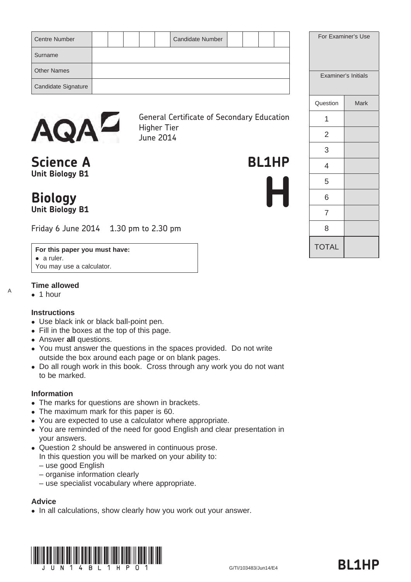| <b>Candidate Number</b><br><b>Centre Number</b> | For E |
|-------------------------------------------------|-------|
| Surname                                         |       |
| <b>Other Names</b>                              | Exar  |
| Candidate Signature                             |       |



General Certificate of Secondary Education Higher Tier June 2014

**Science A** BL1HP **Unit Biology B1**

# **Biology Unit Biology B1**

Friday 6 June 2014 1.30 pm to 2.30 pm

#### **For this paper you must have:**

• a ruler. You may use a calculator.

## **Time allowed**

 $\bullet$  1 hour

A

#### **Instructions**

- Use black ink or black ball-point pen.
- Fill in the boxes at the top of this page.
- Answer **all** questions.
- You must answer the questions in the spaces provided. Do not write outside the box around each page or on blank pages.
- Do all rough work in this book. Cross through any work you do not want to be marked.

#### **Information**

- The marks for questions are shown in brackets.
- The maximum mark for this paper is 60.
- You are expected to use a calculator where appropriate.
- You are reminded of the need for good English and clear presentation in your answers.
- Question 2 should be answered in continuous prose.
- In this question you will be marked on your ability to:
- use good English
- organise information clearly
- use specialist vocabulary where appropriate.

#### **Advice**

• In all calculations, show clearly how you work out your answer.



|                | Examiner's Initials |
|----------------|---------------------|
| Question       | Mark                |
| 1              |                     |
| $\overline{2}$ |                     |
| 3              |                     |
| 4              |                     |
| 5              |                     |
| 6              |                     |
| 7              |                     |
| 8              |                     |
| <b>TOTAL</b>   |                     |

**H**

For Examiner's Use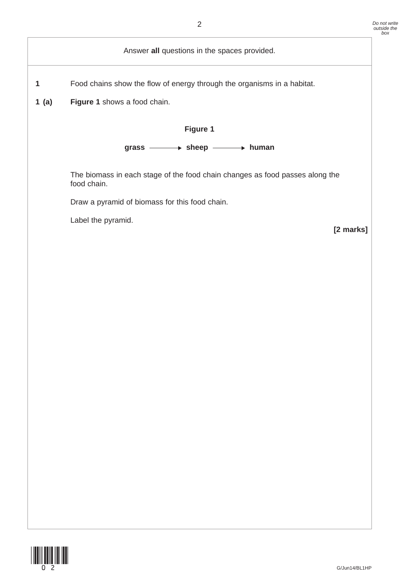|      | $\overline{2}$                                                                              | Do not write<br>outside the<br>box |
|------|---------------------------------------------------------------------------------------------|------------------------------------|
|      | Answer all questions in the spaces provided.                                                |                                    |
| 1    | Food chains show the flow of energy through the organisms in a habitat.                     |                                    |
| 1(a) | Figure 1 shows a food chain.                                                                |                                    |
|      | Figure 1                                                                                    |                                    |
|      | grass $\longrightarrow$ sheep $\longrightarrow$ human                                       |                                    |
|      | The biomass in each stage of the food chain changes as food passes along the<br>food chain. |                                    |
|      | Draw a pyramid of biomass for this food chain.                                              |                                    |
|      | Label the pyramid.<br>[2 marks]                                                             |                                    |
|      |                                                                                             |                                    |
|      |                                                                                             |                                    |
|      |                                                                                             |                                    |
|      |                                                                                             |                                    |
|      |                                                                                             |                                    |
|      |                                                                                             |                                    |
|      |                                                                                             |                                    |
|      |                                                                                             |                                    |
|      |                                                                                             |                                    |
|      |                                                                                             |                                    |
|      |                                                                                             |                                    |
|      |                                                                                             |                                    |
|      |                                                                                             |                                    |
|      |                                                                                             |                                    |
|      |                                                                                             |                                    |

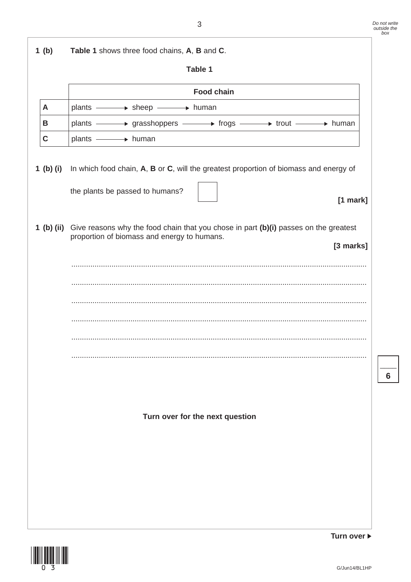$\overline{\phantom{a}}$ **6**

| 1(b)        | Table 1 shows three food chains, A, B and C.                                                                                                                |
|-------------|-------------------------------------------------------------------------------------------------------------------------------------------------------------|
|             | Table 1                                                                                                                                                     |
|             | <b>Food chain</b>                                                                                                                                           |
| A           | plants - > sheep - + human                                                                                                                                  |
| В           | plants - prasshoppers - progs - prout - prout human                                                                                                         |
| $\mathbf C$ | plants - human                                                                                                                                              |
| 1 (b) (i)   | In which food chain, A, B or C, will the greatest proportion of biomass and energy of<br>the plants be passed to humans?<br>$[1$ mark]                      |
|             | 1 (b) (ii) Give reasons why the food chain that you chose in part (b)(i) passes on the greatest<br>proportion of biomass and energy to humans.<br>[3 marks] |
|             |                                                                                                                                                             |
|             |                                                                                                                                                             |
|             |                                                                                                                                                             |
|             |                                                                                                                                                             |
|             |                                                                                                                                                             |
|             |                                                                                                                                                             |
|             |                                                                                                                                                             |
|             |                                                                                                                                                             |
|             | Turn over for the next question                                                                                                                             |
|             |                                                                                                                                                             |



**Turn over**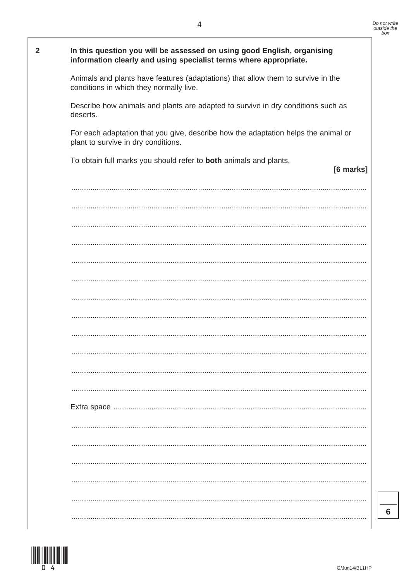| $\overline{2}$ | In this question you will be assessed on using good English, organising<br>information clearly and using specialist terms where appropriate. |
|----------------|----------------------------------------------------------------------------------------------------------------------------------------------|
|                | Animals and plants have features (adaptations) that allow them to survive in the<br>conditions in which they normally live.                  |
|                | Describe how animals and plants are adapted to survive in dry conditions such as<br>deserts.                                                 |
|                | For each adaptation that you give, describe how the adaptation helps the animal or<br>plant to survive in dry conditions.                    |
|                | To obtain full marks you should refer to both animals and plants.<br>[6 marks]                                                               |
|                |                                                                                                                                              |
|                |                                                                                                                                              |
|                |                                                                                                                                              |
|                |                                                                                                                                              |
|                |                                                                                                                                              |
|                |                                                                                                                                              |
|                |                                                                                                                                              |
|                |                                                                                                                                              |
|                |                                                                                                                                              |
|                |                                                                                                                                              |
|                |                                                                                                                                              |
|                |                                                                                                                                              |
|                |                                                                                                                                              |
|                |                                                                                                                                              |
|                |                                                                                                                                              |
|                |                                                                                                                                              |
|                |                                                                                                                                              |
|                |                                                                                                                                              |
|                |                                                                                                                                              |

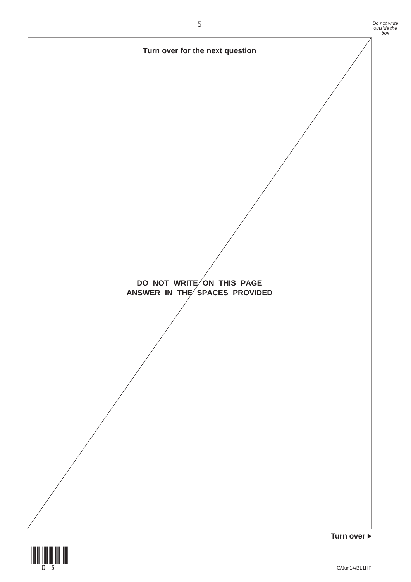

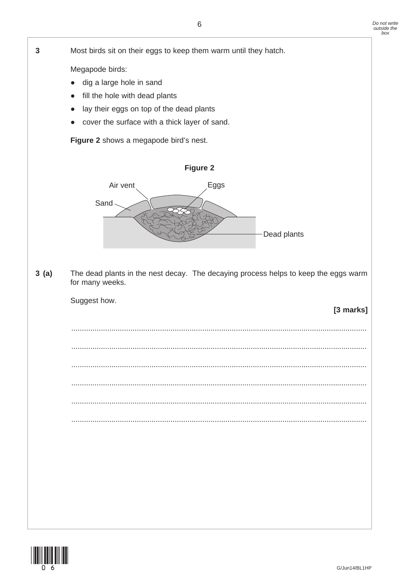

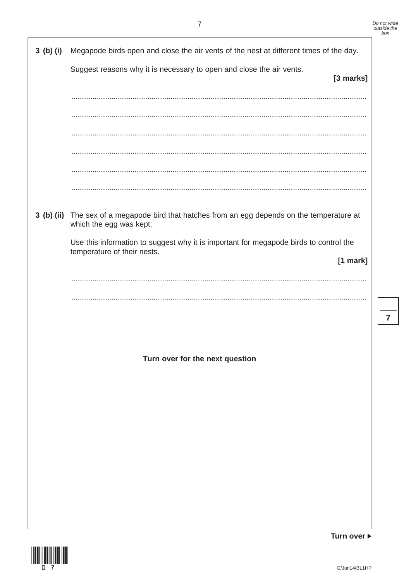$\overline{7}$ 

| 3(b)(i) | Megapode birds open and close the air vents of the nest at different times of the day.                                  |
|---------|-------------------------------------------------------------------------------------------------------------------------|
|         | Suggest reasons why it is necessary to open and close the air vents.<br>[3 marks]                                       |
|         |                                                                                                                         |
|         |                                                                                                                         |
|         |                                                                                                                         |
|         |                                                                                                                         |
|         |                                                                                                                         |
|         |                                                                                                                         |
|         | 3 (b) (ii) The sex of a megapode bird that hatches from an egg depends on the temperature at<br>which the egg was kept. |
|         | Use this information to suggest why it is important for megapode birds to control the<br>temperature of their nests.    |
|         | [1 mark]                                                                                                                |
|         |                                                                                                                         |
|         |                                                                                                                         |
|         |                                                                                                                         |
|         |                                                                                                                         |
|         | Turn over for the next question                                                                                         |
|         |                                                                                                                         |
|         |                                                                                                                         |
|         |                                                                                                                         |
|         |                                                                                                                         |
|         |                                                                                                                         |
|         |                                                                                                                         |
|         |                                                                                                                         |
|         |                                                                                                                         |



Turn over ▶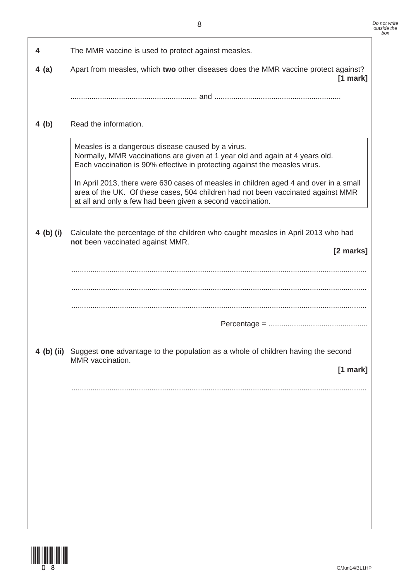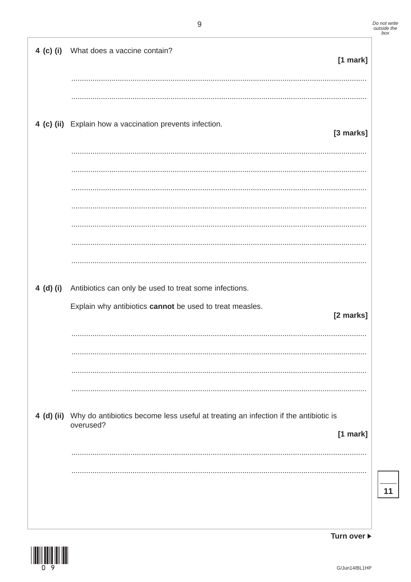Turn over ▶

| 4 (c) (i) What does a vaccine contain?<br>[1 mark]                                                                        |
|---------------------------------------------------------------------------------------------------------------------------|
|                                                                                                                           |
| 4 (c) (ii) Explain how a vaccination prevents infection.<br>[3 marks]                                                     |
|                                                                                                                           |
|                                                                                                                           |
|                                                                                                                           |
| 4 (d) (i) Antibiotics can only be used to treat some infections.                                                          |
| Explain why antibiotics cannot be used to treat measles.<br>[2 marks]                                                     |
|                                                                                                                           |
|                                                                                                                           |
| 4 (d) (ii) Why do antibiotics become less useful at treating an infection if the antibiotic is<br>overused?<br>$[1$ mark] |
|                                                                                                                           |
|                                                                                                                           |



 $11$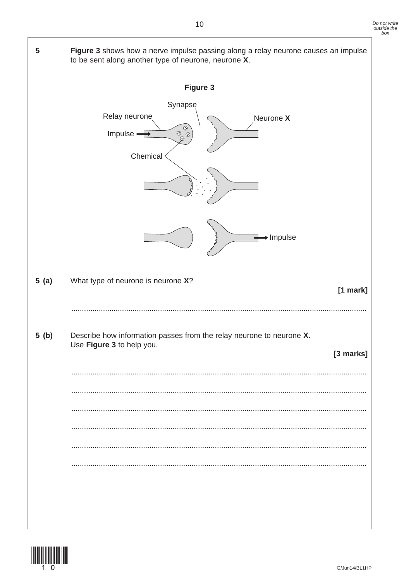

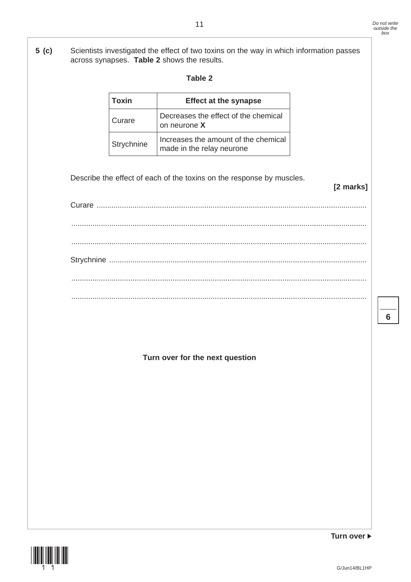**5 (c)** Scientists investigated the effect of two toxins on the way in which information passes across synapses. **Table 2** shows the results.

| ٧<br>× |
|--------|
|--------|

| Toxin      | <b>Effect at the synapse</b>                                      |
|------------|-------------------------------------------------------------------|
| Curare     | Decreases the effect of the chemical<br>on neurone X              |
| Strychnine | Increases the amount of the chemical<br>made in the relay neurone |

Describe the effect of each of the toxins on the response by muscles.

| . |  |  |  |
|---|--|--|--|
|   |  |  |  |
|   |  |  |  |
|   |  |  |  |

**Turn over for the next question**



**Turn over**

**[2 marks]**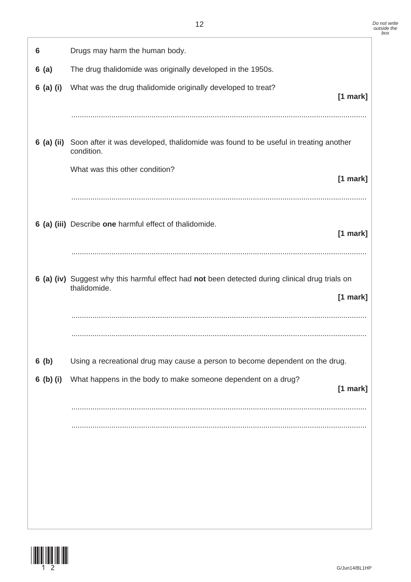| 6          | Drugs may harm the human body.                                                                                  |            |
|------------|-----------------------------------------------------------------------------------------------------------------|------------|
| 6(a)       | The drug thalidomide was originally developed in the 1950s.                                                     |            |
| 6 (a) (i)  | What was the drug thalidomide originally developed to treat?                                                    | $[1$ mark] |
|            |                                                                                                                 |            |
| 6 (a) (ii) | Soon after it was developed, thalidomide was found to be useful in treating another<br>condition.               |            |
|            | What was this other condition?                                                                                  | $[1$ mark] |
|            | 6 (a) (iii) Describe one harmful effect of thalidomide.                                                         | $[1$ mark] |
|            | 6 (a) (iv) Suggest why this harmful effect had not been detected during clinical drug trials on<br>thalidomide. | $[1$ mark] |
| 6(b)       | Using a recreational drug may cause a person to become dependent on the drug.                                   |            |
| 6 (b) (i)  | What happens in the body to make someone dependent on a drug?                                                   | $[1$ mark] |
|            |                                                                                                                 |            |

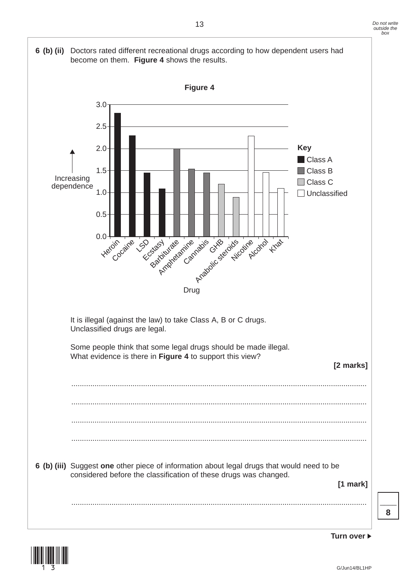



13 *Do not write outside the box*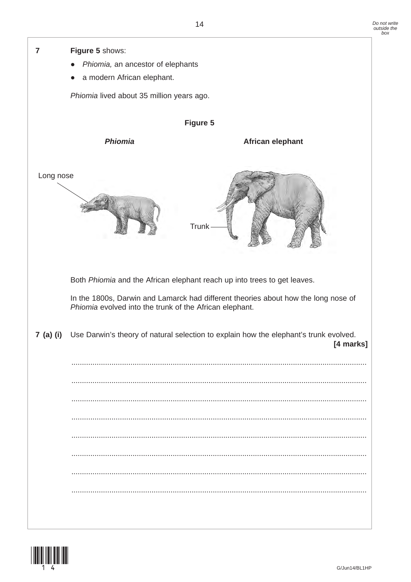

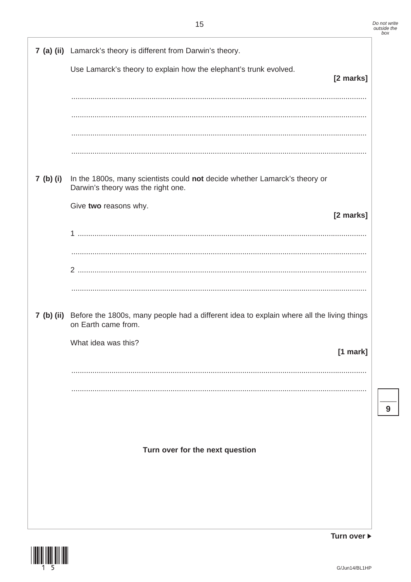|           | 7 (a) (ii) Lamarck's theory is different from Darwin's theory.                                                              |            |
|-----------|-----------------------------------------------------------------------------------------------------------------------------|------------|
|           | Use Lamarck's theory to explain how the elephant's trunk evolved.                                                           | [2 marks]  |
|           |                                                                                                                             |            |
|           |                                                                                                                             |            |
|           |                                                                                                                             |            |
|           |                                                                                                                             |            |
| 7 (b) (i) | In the 1800s, many scientists could not decide whether Lamarck's theory or<br>Darwin's theory was the right one.            |            |
|           | Give two reasons why.                                                                                                       | [2 marks]  |
|           |                                                                                                                             |            |
|           |                                                                                                                             |            |
|           |                                                                                                                             |            |
|           |                                                                                                                             |            |
|           | 7 (b) (ii) Before the 1800s, many people had a different idea to explain where all the living things<br>on Earth came from. |            |
|           | What idea was this?                                                                                                         | $[1$ mark] |
|           |                                                                                                                             |            |
|           |                                                                                                                             |            |
|           |                                                                                                                             |            |
|           |                                                                                                                             |            |
|           | Turn over for the next question                                                                                             |            |
|           |                                                                                                                             |            |
|           |                                                                                                                             |            |
|           |                                                                                                                             |            |

Turn over ▶



 $\overline{9}$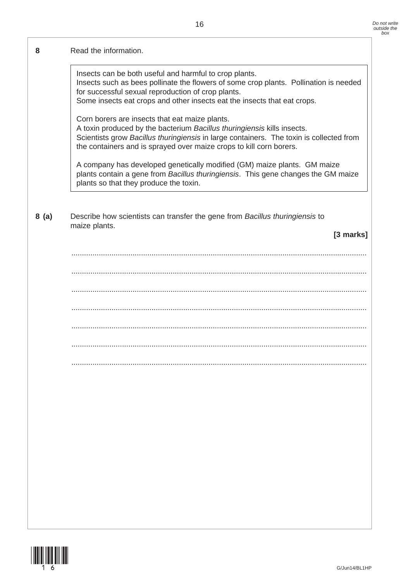### **8** Read the information.

Insects can be both useful and harmful to crop plants. Insects such as bees pollinate the flowers of some crop plants. Pollination is needed for successful sexual reproduction of crop plants.

Some insects eat crops and other insects eat the insects that eat crops.

Corn borers are insects that eat maize plants.

A toxin produced by the bacterium *Bacillus thuringiensis* kills insects. Scientists grow *Bacillus thuringiensis* in large containers. The toxin is collected from the containers and is sprayed over maize crops to kill corn borers.

A company has developed genetically modified (GM) maize plants. GM maize plants contain a gene from *Bacillus thuringiensis*. This gene changes the GM maize plants so that they produce the toxin.

 **8 (a)** Describe how scientists can transfer the gene from *Bacillus thuringiensis* to maize plants.

**[3 marks]**

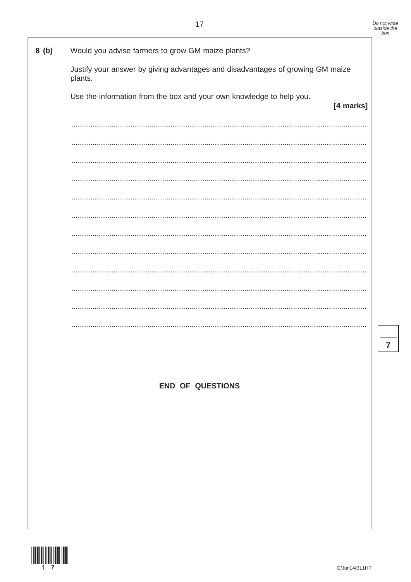$\overline{7}$ 

| 8(b) | Would you advise farmers to grow GM maize plants?                                         |
|------|-------------------------------------------------------------------------------------------|
|      | Justify your answer by giving advantages and disadvantages of growing GM maize<br>plants. |
|      | Use the information from the box and your own knowledge to help you.<br>[4 marks]         |
|      |                                                                                           |
|      |                                                                                           |
|      |                                                                                           |
|      |                                                                                           |
|      |                                                                                           |
|      |                                                                                           |
|      |                                                                                           |
|      |                                                                                           |
|      |                                                                                           |
|      |                                                                                           |
|      |                                                                                           |
|      |                                                                                           |
|      |                                                                                           |
|      |                                                                                           |
|      | <b>END OF QUESTIONS</b>                                                                   |
|      |                                                                                           |
|      |                                                                                           |
|      |                                                                                           |
|      |                                                                                           |
|      |                                                                                           |
|      |                                                                                           |
|      |                                                                                           |

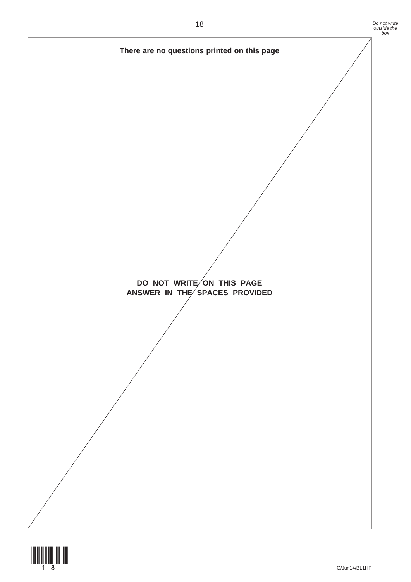

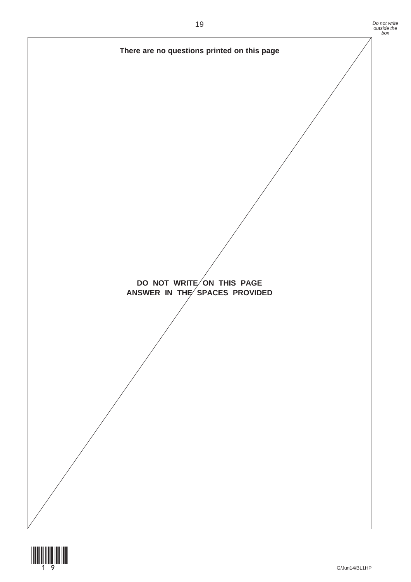